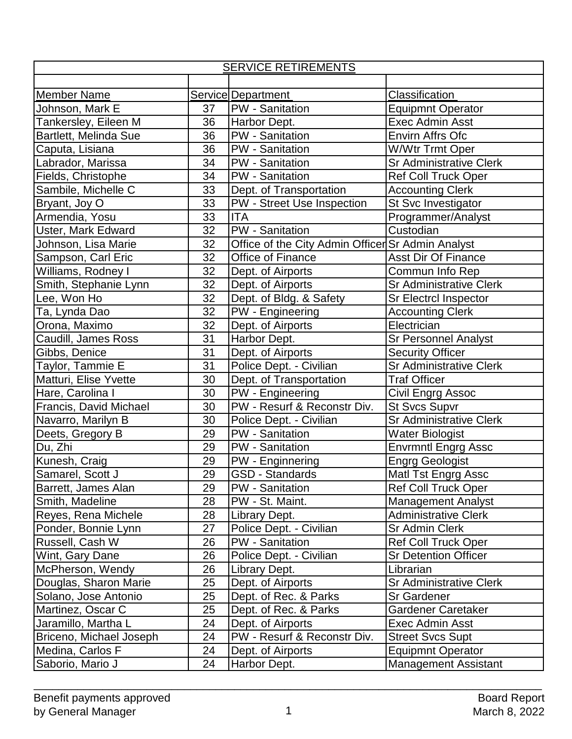| <b>SERVICE RETIREMENTS</b> |    |                                                   |                                |  |  |
|----------------------------|----|---------------------------------------------------|--------------------------------|--|--|
|                            |    |                                                   |                                |  |  |
| <b>Member Name</b>         |    | Service Department                                | Classification                 |  |  |
| Johnson, Mark E            | 37 | <b>PW</b> - Sanitation                            | <b>Equipmnt Operator</b>       |  |  |
| Tankersley, Eileen M       | 36 | Harbor Dept.                                      | Exec Admin Asst                |  |  |
| Bartlett, Melinda Sue      | 36 | <b>PW</b> - Sanitation                            | Envirn Affrs Ofc               |  |  |
| Caputa, Lisiana            | 36 | PW - Sanitation                                   | <b>W/Wtr Trmt Oper</b>         |  |  |
| Labrador, Marissa          | 34 | <b>PW</b> - Sanitation                            | <b>Sr Administrative Clerk</b> |  |  |
| Fields, Christophe         | 34 | <b>PW</b> - Sanitation                            | <b>Ref Coll Truck Oper</b>     |  |  |
| Sambile, Michelle C        | 33 | Dept. of Transportation                           | <b>Accounting Clerk</b>        |  |  |
| Bryant, Joy O              | 33 | PW - Street Use Inspection                        | St Svc Investigator            |  |  |
| Armendia, Yosu             | 33 | <b>ITA</b>                                        | Programmer/Analyst             |  |  |
| Uster, Mark Edward         | 32 | PW - Sanitation                                   | Custodian                      |  |  |
| Johnson, Lisa Marie        | 32 | Office of the City Admin Officer Sr Admin Analyst |                                |  |  |
| Sampson, Carl Eric         | 32 | Office of Finance                                 | <b>Asst Dir Of Finance</b>     |  |  |
| Williams, Rodney I         | 32 | Dept. of Airports                                 | Commun Info Rep                |  |  |
| Smith, Stephanie Lynn      | 32 | Dept. of Airports                                 | <b>Sr Administrative Clerk</b> |  |  |
| Lee, Won Ho                | 32 | Dept. of Bldg. & Safety                           | Sr Electrcl Inspector          |  |  |
| Ta, Lynda Dao              | 32 | PW - Engineering                                  | <b>Accounting Clerk</b>        |  |  |
| Orona, Maximo              | 32 | Dept. of Airports                                 | Electrician                    |  |  |
| Caudill, James Ross        | 31 | Harbor Dept.                                      | <b>Sr Personnel Analyst</b>    |  |  |
| Gibbs, Denice              | 31 | Dept. of Airports                                 | <b>Security Officer</b>        |  |  |
| Taylor, Tammie E           | 31 | Police Dept. - Civilian                           | <b>Sr Administrative Clerk</b> |  |  |
| Matturi, Elise Yvette      | 30 | Dept. of Transportation                           | <b>Traf Officer</b>            |  |  |
| Hare, Carolina I           | 30 | PW - Engineering                                  | Civil Engrg Assoc              |  |  |
| Francis, David Michael     | 30 | PW - Resurf & Reconstr Div.                       | <b>St Svcs Supvr</b>           |  |  |
| Navarro, Marilyn B         | 30 | Police Dept. - Civilian                           | <b>Sr Administrative Clerk</b> |  |  |
| Deets, Gregory B           | 29 | PW - Sanitation                                   | <b>Water Biologist</b>         |  |  |
| Du, Zhi                    | 29 | <b>PW</b> - Sanitation                            | <b>Envrmntl Engrg Assc</b>     |  |  |
| Kunesh, Craig              | 29 | PW - Enginnering                                  | <b>Engrg Geologist</b>         |  |  |
| Samarel, Scott J           | 29 | <b>GSD - Standards</b>                            | Matl Tst Engrg Assc            |  |  |
| Barrett, James Alan        | 29 | PW - Sanitation                                   | Ref Coll Truck Oper            |  |  |
| Smith, Madeline            | 28 | PW - St. Maint.                                   | <b>Management Analyst</b>      |  |  |
| Reyes, Rena Michele        | 28 | Library Dept.                                     | <b>Administrative Clerk</b>    |  |  |
| Ponder, Bonnie Lynn        | 27 | Police Dept. - Civilian                           | <b>Sr Admin Clerk</b>          |  |  |
| Russell, Cash W            | 26 | <b>PW</b> - Sanitation                            | <b>Ref Coll Truck Oper</b>     |  |  |
| Wint, Gary Dane            | 26 | Police Dept. - Civilian                           | <b>Sr Detention Officer</b>    |  |  |
| McPherson, Wendy           | 26 | Library Dept.                                     | Librarian                      |  |  |
| Douglas, Sharon Marie      | 25 | Dept. of Airports                                 | <b>Sr Administrative Clerk</b> |  |  |
| Solano, Jose Antonio       | 25 | Dept. of Rec. & Parks                             | <b>Sr Gardener</b>             |  |  |
| Martinez, Oscar C          | 25 | Dept. of Rec. & Parks                             | Gardener Caretaker             |  |  |
| Jaramillo, Martha L        | 24 | Dept. of Airports                                 | <b>Exec Admin Asst</b>         |  |  |
| Briceno, Michael Joseph    | 24 | PW - Resurf & Reconstr Div.                       | <b>Street Svcs Supt</b>        |  |  |
| Medina, Carlos F           | 24 | Dept. of Airports                                 | <b>Equipmnt Operator</b>       |  |  |
| Saborio, Mario J           | 24 | Harbor Dept.                                      | <b>Management Assistant</b>    |  |  |

\_\_\_\_\_\_\_\_\_\_\_\_\_\_\_\_\_\_\_\_\_\_\_\_\_\_\_\_\_\_\_\_\_\_\_\_\_\_\_\_\_\_\_\_\_\_\_\_\_\_\_\_\_\_\_\_\_\_\_\_\_\_\_\_\_\_\_\_\_\_\_\_\_\_\_\_\_\_\_\_\_